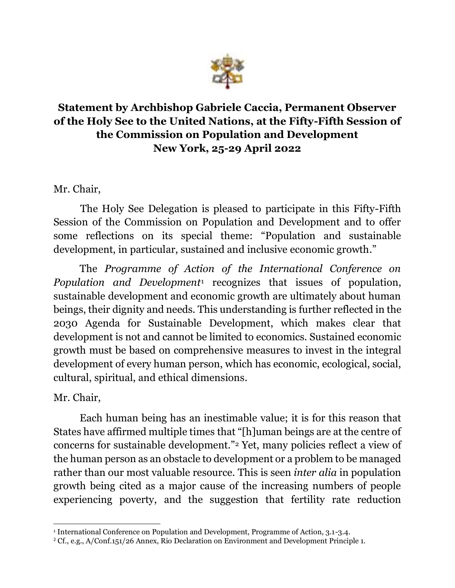

## **Statement by Archbishop Gabriele Caccia, Permanent Observer of the Holy See to the United Nations, at the Fifty-Fifth Session of the Commission on Population and Development New York, 25-29 April 2022**

Mr. Chair,

The Holy See Delegation is pleased to participate in this Fifty-Fifth Session of the Commission on Population and Development and to offer some reflections on its special theme: "Population and sustainable development, in particular, sustained and inclusive economic growth."

The *Programme of Action of the International Conference on Population and Development*<sup>1</sup> recognizes that issues of population, sustainable development and economic growth are ultimately about human beings, their dignity and needs. This understanding is further reflected in the 2030 Agenda for Sustainable Development, which makes clear that development is not and cannot be limited to economics. Sustained economic growth must be based on comprehensive measures to invest in the integral development of every human person, which has economic, ecological, social, cultural, spiritual, and ethical dimensions.

Mr. Chair,

Each human being has an inestimable value; it is for this reason that States have affirmed multiple times that "[h]uman beings are at the centre of concerns for sustainable development."<sup>2</sup> Yet, many policies reflect a view of the human person as an obstacle to development or a problem to be managed rather than our most valuable resource. This is seen *inter alia* in population growth being cited as a major cause of the increasing numbers of people experiencing poverty, and the suggestion that fertility rate reduction

<sup>1</sup> International Conference on Population and Development, Programme of Action, 3.1-3.4.

<sup>2</sup> Cf., e.g., A/Conf.151/26 Annex, Rio Declaration on Environment and Development Principle 1.